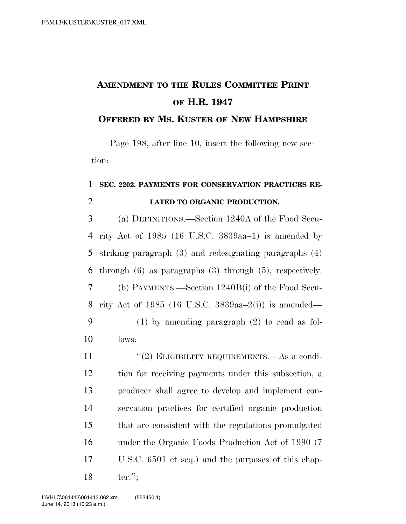## **AMENDMENT TO THE RULES COMMITTEE PRINT OF H.R. 1947**

## **OFFERED BY MS. KUSTER OF NEW HAMPSHIRE**

Page 198, after line 10, insert the following new section:

## **SEC. 2202. PAYMENTS FOR CONSERVATION PRACTICES RE-LATED TO ORGANIC PRODUCTION.**

 (a) DEFINITIONS.—Section 1240A of the Food Secu- rity Act of 1985 (16 U.S.C. 3839aa–1) is amended by striking paragraph (3) and redesignating paragraphs (4) through (6) as paragraphs (3) through (5), respectively. (b) PAYMENTS.—Section 1240B(i) of the Food Secu- rity Act of 1985 (16 U.S.C. 3839aa–2(i)) is amended— (1) by amending paragraph (2) to read as fol-lows:

11 "(2) ELIGIBILITY REQUIREMENTS.—As a condi- tion for receiving payments under this subsection, a producer shall agree to develop and implement con- servation practices for certified organic production that are consistent with the regulations promulgated under the Organic Foods Production Act of 1990 (7 U.S.C. 6501 et seq.) and the purposes of this chap-ter.'';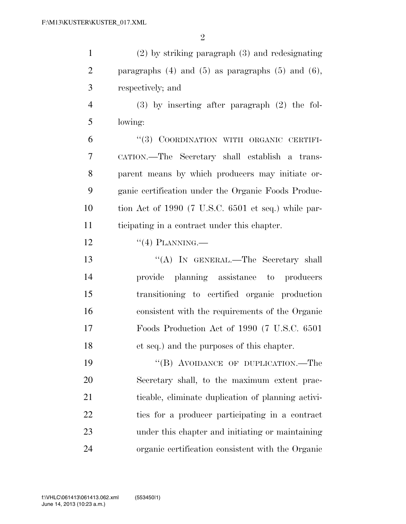| $\mathbf{1}$   | $(2)$ by striking paragraph $(3)$ and redesignating        |
|----------------|------------------------------------------------------------|
| $\overline{2}$ | paragraphs $(4)$ and $(5)$ as paragraphs $(5)$ and $(6)$ , |
| 3              | respectively; and                                          |
| $\overline{4}$ | $(3)$ by inserting after paragraph $(2)$ the fol-          |
| 5              | lowing:                                                    |
| 6              | "(3) COORDINATION WITH ORGANIC CERTIFI-                    |
| 7              | CATION.—The Secretary shall establish a trans-             |
| 8              | parent means by which producers may initiate or-           |
| 9              | ganic certification under the Organic Foods Produc-        |
| 10             | tion Act of 1990 (7 U.S.C. 6501 et seq.) while par-        |
| 11             | ticipating in a contract under this chapter.               |
| 12             | $``(4)$ PLANNING.—                                         |
| 13             | "(A) IN GENERAL.—The Secretary shall                       |
| 14             | provide planning assistance to producers                   |
| 15             | transitioning to certified organic production              |
| 16             | consistent with the requirements of the Organic            |
| 17             | Foods Production Act of 1990 (7 U.S.C. 6501)               |
| 18             | et seq.) and the purposes of this chapter.                 |
| 19             | "(B) AVOIDANCE OF DUPLICATION.—The                         |
| 20             | Secretary shall, to the maximum extent prac-               |
| 21             | ticable, eliminate duplication of planning activi-         |
| 22             | ties for a producer participating in a contract            |
| 23             | under this chapter and initiating or maintaining           |
| 24             | organic certification consistent with the Organic          |